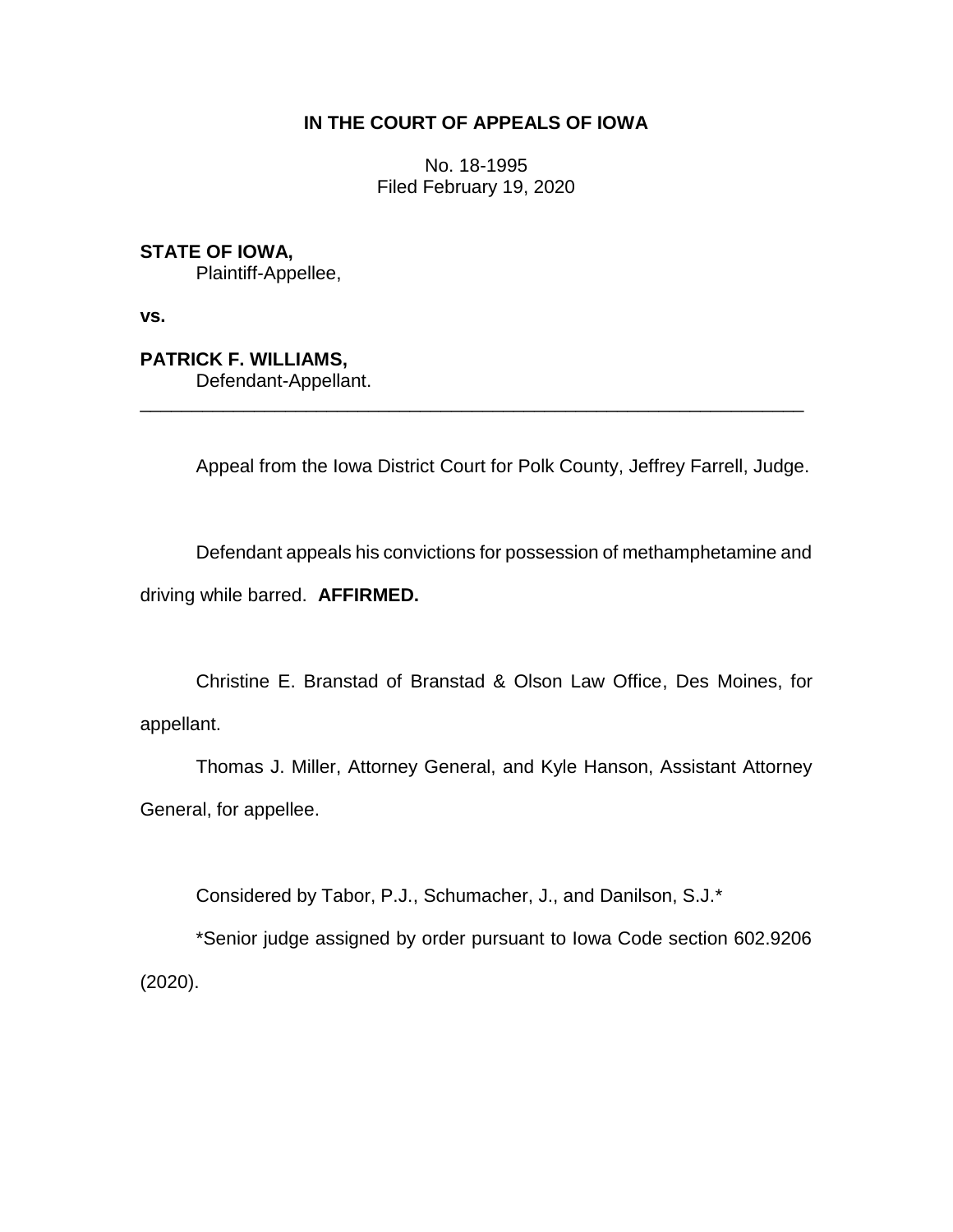# **IN THE COURT OF APPEALS OF IOWA**

No. 18-1995 Filed February 19, 2020

**STATE OF IOWA,**

Plaintiff-Appellee,

**vs.**

**PATRICK F. WILLIAMS,**

Defendant-Appellant.

Appeal from the Iowa District Court for Polk County, Jeffrey Farrell, Judge.

Defendant appeals his convictions for possession of methamphetamine and driving while barred. **AFFIRMED.**

\_\_\_\_\_\_\_\_\_\_\_\_\_\_\_\_\_\_\_\_\_\_\_\_\_\_\_\_\_\_\_\_\_\_\_\_\_\_\_\_\_\_\_\_\_\_\_\_\_\_\_\_\_\_\_\_\_\_\_\_\_\_\_\_

Christine E. Branstad of Branstad & Olson Law Office, Des Moines, for appellant.

Thomas J. Miller, Attorney General, and Kyle Hanson, Assistant Attorney General, for appellee.

Considered by Tabor, P.J., Schumacher, J., and Danilson, S.J.\*

\*Senior judge assigned by order pursuant to Iowa Code section 602.9206 (2020).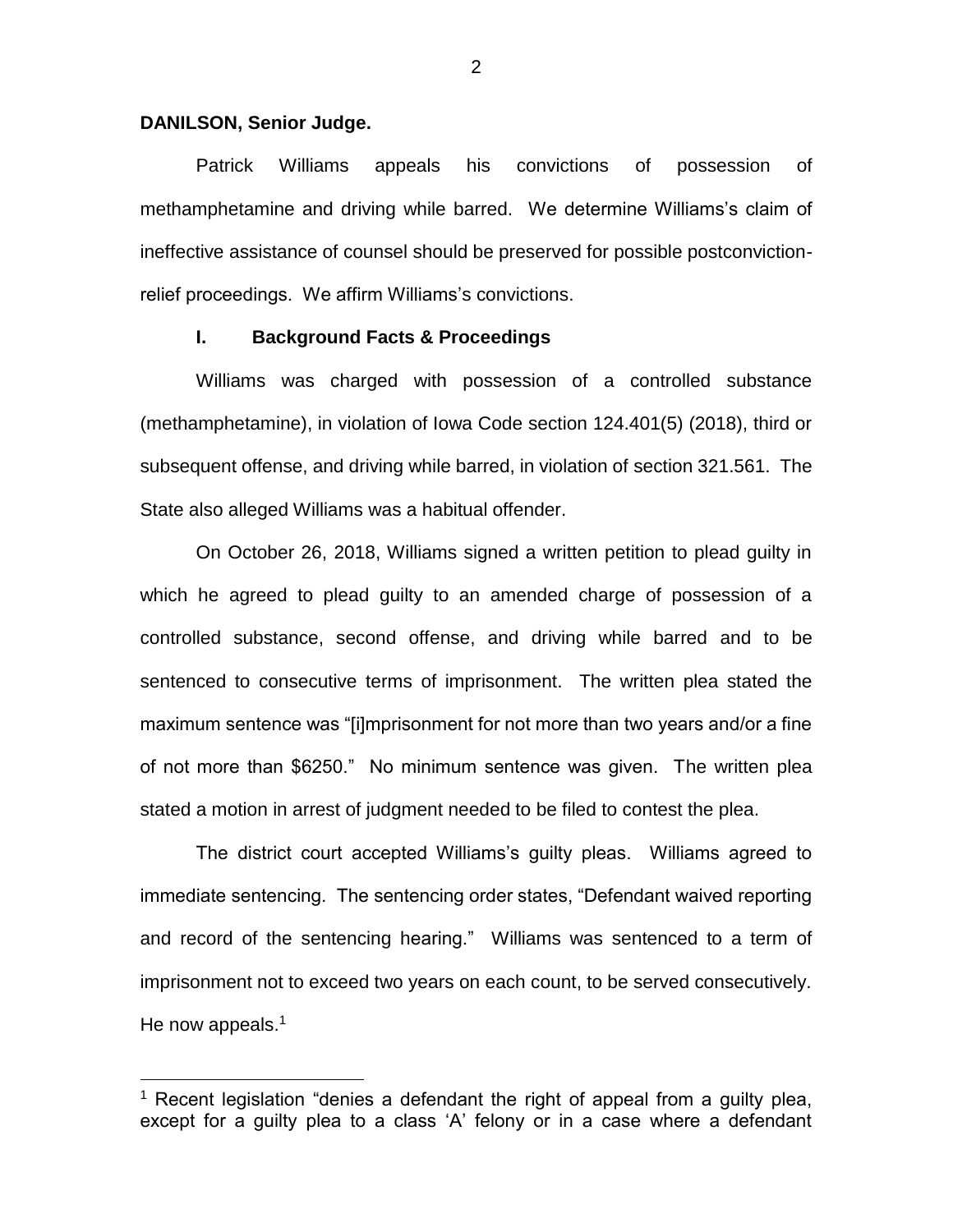### **DANILSON, Senior Judge.**

 $\overline{a}$ 

Patrick Williams appeals his convictions of possession of methamphetamine and driving while barred. We determine Williams's claim of ineffective assistance of counsel should be preserved for possible postconvictionrelief proceedings. We affirm Williams's convictions.

### **I. Background Facts & Proceedings**

Williams was charged with possession of a controlled substance (methamphetamine), in violation of Iowa Code section 124.401(5) (2018), third or subsequent offense, and driving while barred, in violation of section 321.561. The State also alleged Williams was a habitual offender.

On October 26, 2018, Williams signed a written petition to plead guilty in which he agreed to plead guilty to an amended charge of possession of a controlled substance, second offense, and driving while barred and to be sentenced to consecutive terms of imprisonment. The written plea stated the maximum sentence was "[i]mprisonment for not more than two years and/or a fine of not more than \$6250." No minimum sentence was given. The written plea stated a motion in arrest of judgment needed to be filed to contest the plea.

The district court accepted Williams's guilty pleas. Williams agreed to immediate sentencing. The sentencing order states, "Defendant waived reporting and record of the sentencing hearing." Williams was sentenced to a term of imprisonment not to exceed two years on each count, to be served consecutively. He now appeals. $1$ 

<sup>&</sup>lt;sup>1</sup> Recent legislation "denies a defendant the right of appeal from a guilty plea, except for a guilty plea to a class 'A' felony or in a case where a defendant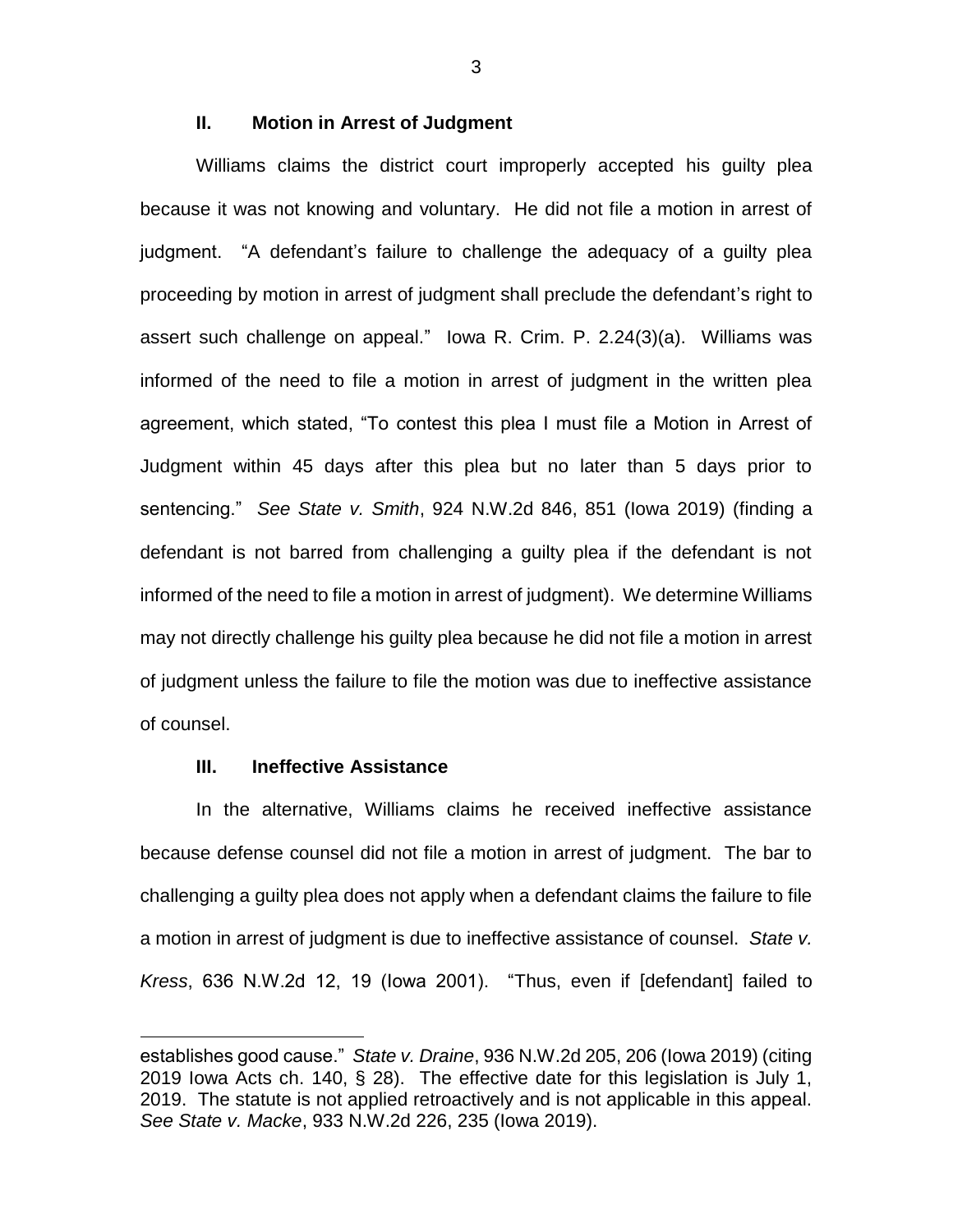# **II. Motion in Arrest of Judgment**

Williams claims the district court improperly accepted his guilty plea because it was not knowing and voluntary. He did not file a motion in arrest of judgment. "A defendant's failure to challenge the adequacy of a guilty plea proceeding by motion in arrest of judgment shall preclude the defendant's right to assert such challenge on appeal." Iowa R. Crim. P. 2.24(3)(a). Williams was informed of the need to file a motion in arrest of judgment in the written plea agreement, which stated, "To contest this plea I must file a Motion in Arrest of Judgment within 45 days after this plea but no later than 5 days prior to sentencing." *See State v. Smith*, 924 N.W.2d 846, 851 (Iowa 2019) (finding a defendant is not barred from challenging a guilty plea if the defendant is not informed of the need to file a motion in arrest of judgment). We determine Williams may not directly challenge his guilty plea because he did not file a motion in arrest of judgment unless the failure to file the motion was due to ineffective assistance of counsel.

# **III. Ineffective Assistance**

 $\overline{a}$ 

In the alternative, Williams claims he received ineffective assistance because defense counsel did not file a motion in arrest of judgment. The bar to challenging a guilty plea does not apply when a defendant claims the failure to file a motion in arrest of judgment is due to ineffective assistance of counsel. *State v. Kress*, 636 N.W.2d 12, 19 (Iowa 2001). "Thus, even if [defendant] failed to

3

establishes good cause." *State v. Draine*, 936 N.W.2d 205, 206 (Iowa 2019) (citing 2019 Iowa Acts ch. 140, § 28). The effective date for this legislation is July 1, 2019. The statute is not applied retroactively and is not applicable in this appeal. *See State v. Macke*, 933 N.W.2d 226, 235 (Iowa 2019).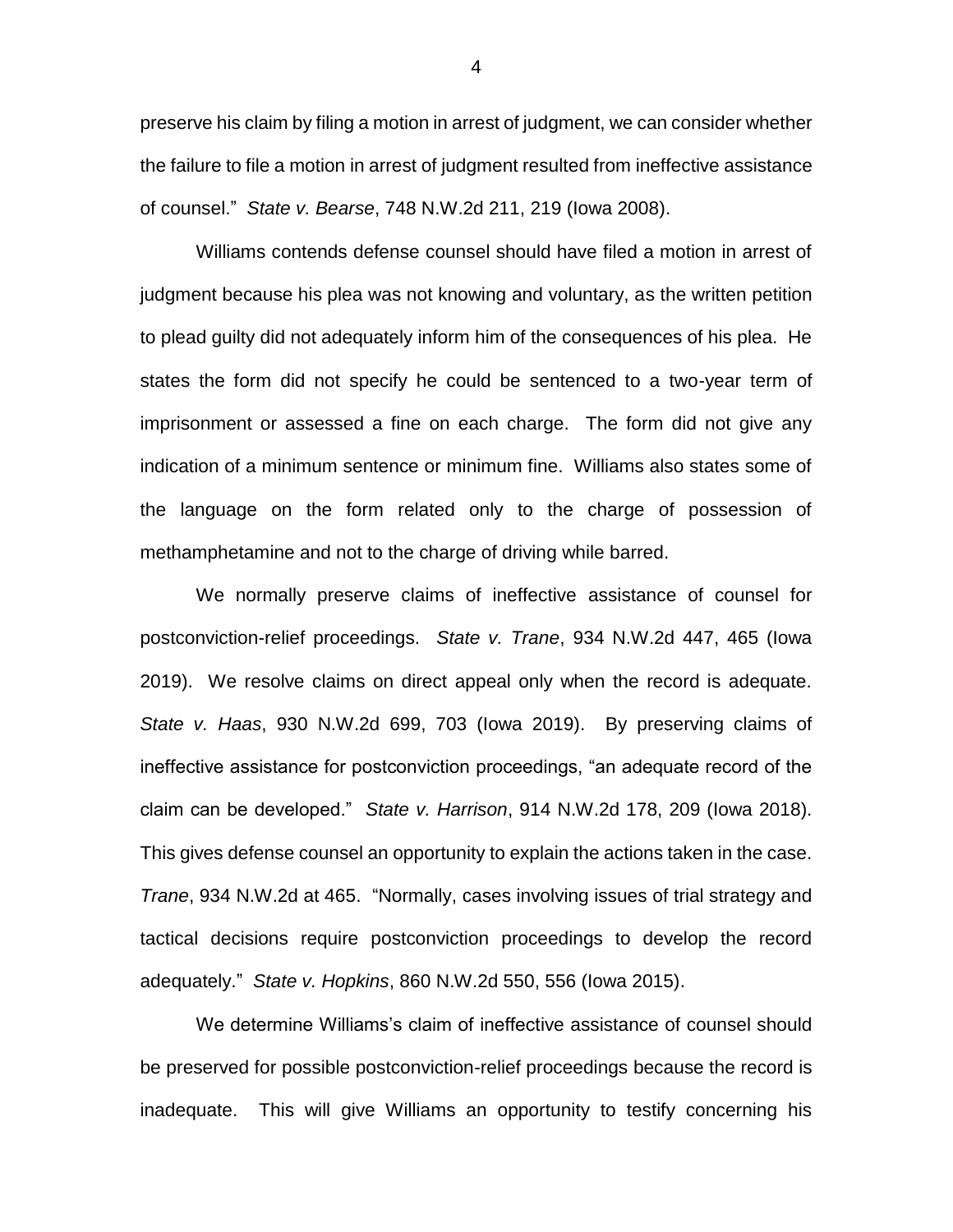preserve his claim by filing a motion in arrest of judgment, we can consider whether the failure to file a motion in arrest of judgment resulted from ineffective assistance of counsel." *State v. Bearse*, 748 N.W.2d 211, 219 (Iowa 2008).

Williams contends defense counsel should have filed a motion in arrest of judgment because his plea was not knowing and voluntary, as the written petition to plead guilty did not adequately inform him of the consequences of his plea. He states the form did not specify he could be sentenced to a two-year term of imprisonment or assessed a fine on each charge. The form did not give any indication of a minimum sentence or minimum fine. Williams also states some of the language on the form related only to the charge of possession of methamphetamine and not to the charge of driving while barred.

We normally preserve claims of ineffective assistance of counsel for postconviction-relief proceedings. *State v. Trane*, 934 N.W.2d 447, 465 (Iowa 2019). We resolve claims on direct appeal only when the record is adequate. *State v. Haas*, 930 N.W.2d 699, 703 (Iowa 2019). By preserving claims of ineffective assistance for postconviction proceedings, "an adequate record of the claim can be developed." *State v. Harrison*, 914 N.W.2d 178, 209 (Iowa 2018). This gives defense counsel an opportunity to explain the actions taken in the case. *Trane*, 934 N.W.2d at 465. "Normally, cases involving issues of trial strategy and tactical decisions require postconviction proceedings to develop the record adequately." *State v. Hopkins*, 860 N.W.2d 550, 556 (Iowa 2015).

We determine Williams's claim of ineffective assistance of counsel should be preserved for possible postconviction-relief proceedings because the record is inadequate. This will give Williams an opportunity to testify concerning his

4